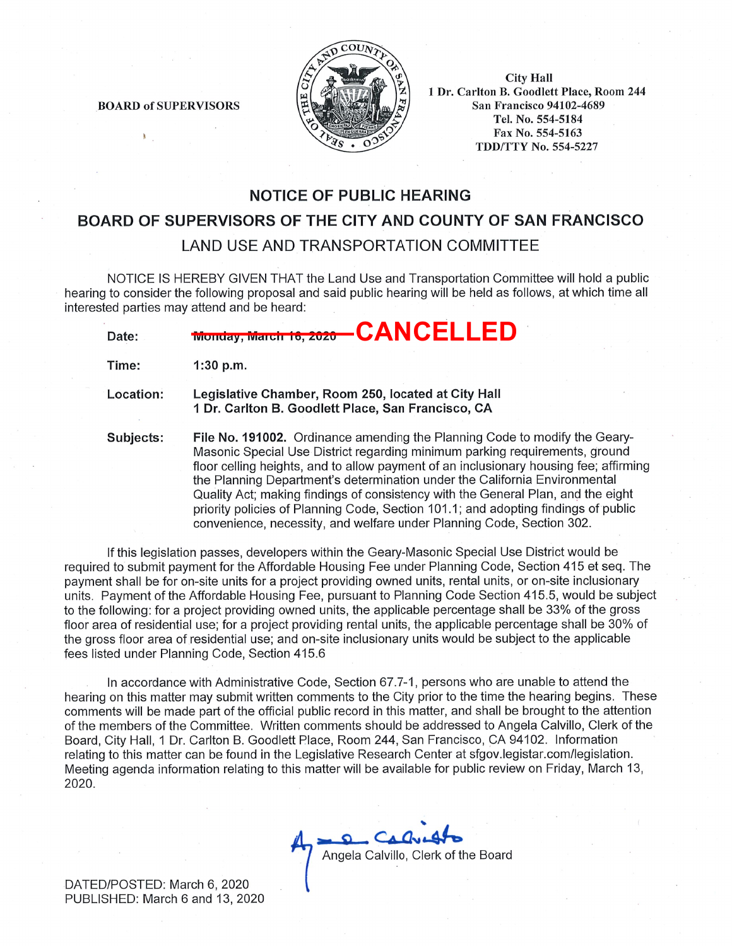

**BOARD of SUPERVISORS** 

**City Hall** 1 Dr. Carlton B. Goodlett Place, Room 244 **San Francisco 94102-4689** Tel. No. 554-5184 Fax No. 554-5163 **TDD/TTY No. 554-5227** 

# **NOTICE OF PUBLIC HEARING**

### BOARD OF SUPERVISORS OF THE CITY AND COUNTY OF SAN FRANCISCO

# **LAND USE AND TRANSPORTATION COMMITTEE**

NOTICE IS HEREBY GIVEN THAT the Land Use and Transportation Committee will hold a public hearing to consider the following proposal and said public hearing will be held as follows, at which time all interested parties may attend and be heard:

| Date: | <b>Monday, March 18, 2020 - CANCELLED</b> |  |  |
|-------|-------------------------------------------|--|--|

Time:  $1:30 p.m.$ 

Location: Legislative Chamber, Room 250, located at City Hall 1 Dr. Carlton B. Goodlett Place, San Francisco, CA

File No. 191002. Ordinance amending the Planning Code to modify the Geary-Subjects: Masonic Special Use District regarding minimum parking requirements, ground floor celling heights, and to allow payment of an inclusionary housing fee; affirming the Planning Department's determination under the California Environmental Quality Act; making findings of consistency with the General Plan, and the eight priority policies of Planning Code, Section 101.1; and adopting findings of public convenience, necessity, and welfare under Planning Code, Section 302.

If this legislation passes, developers within the Geary-Masonic Special Use District would be required to submit payment for the Affordable Housing Fee under Planning Code, Section 415 et seg. The payment shall be for on-site units for a project providing owned units, rental units, or on-site inclusionary units. Payment of the Affordable Housing Fee, pursuant to Planning Code Section 415.5, would be subject to the following: for a project providing owned units, the applicable percentage shall be 33% of the gross floor area of residential use; for a project providing rental units, the applicable percentage shall be 30% of the gross floor area of residential use; and on-site inclusionary units would be subject to the applicable fees listed under Planning Code, Section 415.6

In accordance with Administrative Code, Section 67.7-1, persons who are unable to attend the hearing on this matter may submit written comments to the City prior to the time the hearing begins. These comments will be made part of the official public record in this matter, and shall be brought to the attention of the members of the Committee. Written comments should be addressed to Angela Calvillo, Clerk of the Board, City Hall, 1 Dr. Carlton B. Goodlett Place, Room 244, San Francisco, CA 94102. Information relating to this matter can be found in the Legislative Research Center at sfgov.legistar.com/legislation. Meeting agenda information relating to this matter will be available for public review on Friday, March 13, 2020.

Angela Calvillo, Clerk of the Board

DATED/POSTED: March 6, 2020 PUBLISHED: March 6 and 13, 2020